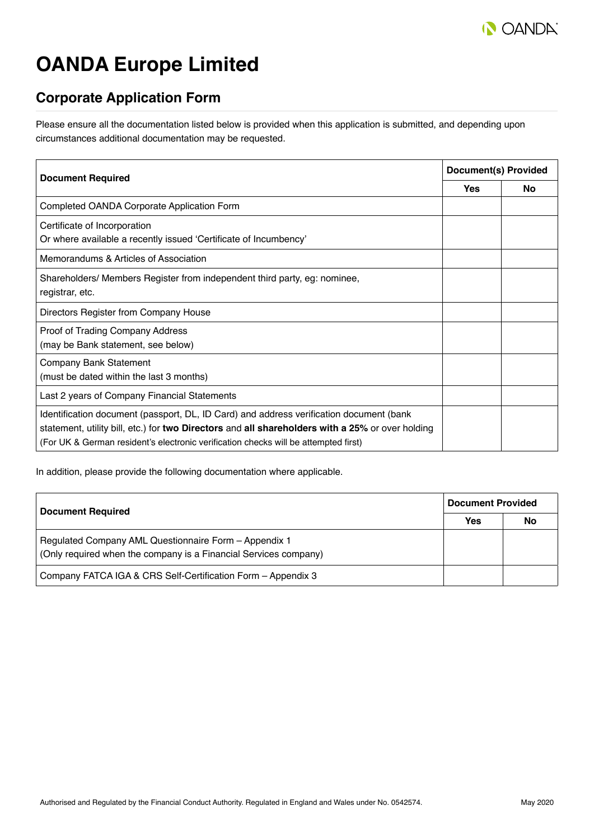

# **OANDA Europe Limited**

## **Corporate Application Form**

Please ensure all the documentation listed below is provided when this application is submitted, and depending upon circumstances additional documentation may be requested.

| <b>Document Required</b>                                                                                                                                                                                                                                                           |  | <b>Document(s) Provided</b> |  |
|------------------------------------------------------------------------------------------------------------------------------------------------------------------------------------------------------------------------------------------------------------------------------------|--|-----------------------------|--|
|                                                                                                                                                                                                                                                                                    |  | No.                         |  |
| Completed OANDA Corporate Application Form                                                                                                                                                                                                                                         |  |                             |  |
| Certificate of Incorporation<br>Or where available a recently issued 'Certificate of Incumbency'                                                                                                                                                                                   |  |                             |  |
| Memorandums & Articles of Association                                                                                                                                                                                                                                              |  |                             |  |
| Shareholders/ Members Register from independent third party, eg: nominee,<br>registrar, etc.                                                                                                                                                                                       |  |                             |  |
| Directors Register from Company House                                                                                                                                                                                                                                              |  |                             |  |
| Proof of Trading Company Address<br>(may be Bank statement, see below)                                                                                                                                                                                                             |  |                             |  |
| Company Bank Statement<br>(must be dated within the last 3 months)                                                                                                                                                                                                                 |  |                             |  |
| Last 2 years of Company Financial Statements                                                                                                                                                                                                                                       |  |                             |  |
| Identification document (passport, DL, ID Card) and address verification document (bank<br>statement, utility bill, etc.) for two Directors and all shareholders with a 25% or over holding<br>(For UK & German resident's electronic verification checks will be attempted first) |  |                             |  |

In addition, please provide the following documentation where applicable.

| <b>Document Required</b>                                                                                                  | <b>Document Provided</b> |    |
|---------------------------------------------------------------------------------------------------------------------------|--------------------------|----|
|                                                                                                                           |                          | No |
| Regulated Company AML Questionnaire Form - Appendix 1<br>(Only required when the company is a Financial Services company) |                          |    |
| Company FATCA IGA & CRS Self-Certification Form - Appendix 3                                                              |                          |    |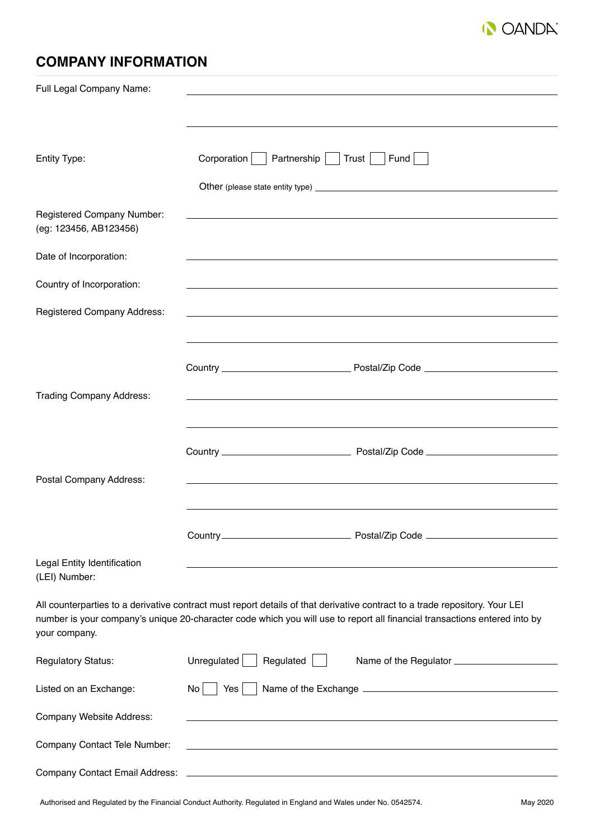

## **COMPANY INFORMATION**

| Full Legal Company Name:                             |                                                                                                                                                                                                                                                          |
|------------------------------------------------------|----------------------------------------------------------------------------------------------------------------------------------------------------------------------------------------------------------------------------------------------------------|
|                                                      |                                                                                                                                                                                                                                                          |
| Entity Type:                                         | Corporation<br>Partnership   Trust   Fund                                                                                                                                                                                                                |
|                                                      |                                                                                                                                                                                                                                                          |
| Registered Company Number:<br>(eg: 123456, AB123456) | ,我们也不能在这里的时候,我们也不能在这里的时候,我们也不能会在这里的时候,我们也不能会在这里的时候,我们也不能会在这里的时候,我们也不能会在这里的时候,我们也                                                                                                                                                                         |
| Date of Incorporation:                               |                                                                                                                                                                                                                                                          |
| Country of Incorporation:                            | and the control of the control of the control of the control of the control of the control of the control of the                                                                                                                                         |
| <b>Registered Company Address:</b>                   | and the control of the control of the control of the control of the control of the control of the control of the                                                                                                                                         |
|                                                      |                                                                                                                                                                                                                                                          |
|                                                      |                                                                                                                                                                                                                                                          |
| <b>Trading Company Address:</b>                      | ,我们也不能在这里的时候,我们也不能在这里的时候,我们也不能会在这里的时候,我们也不能会在这里的时候,我们也不能会在这里的时候,我们也不能会在这里的时候,我们也                                                                                                                                                                         |
|                                                      |                                                                                                                                                                                                                                                          |
| Postal Company Address:                              |                                                                                                                                                                                                                                                          |
|                                                      |                                                                                                                                                                                                                                                          |
|                                                      |                                                                                                                                                                                                                                                          |
| Legal Entity Identification<br>(LEI) Number:         |                                                                                                                                                                                                                                                          |
| your company.                                        | All counterparties to a derivative contract must report details of that derivative contract to a trade repository. Your LEI<br>number is your company's unique 20-character code which you will use to report all financial transactions entered into by |
| <b>Regulatory Status:</b>                            | Unregulated<br>Regulated                                                                                                                                                                                                                                 |
| Listed on an Exchange:                               | No<br>Yes                                                                                                                                                                                                                                                |
| Company Website Address:                             | <u> 1989 - John Stein, amerikansk politiker (* 1908)</u>                                                                                                                                                                                                 |
| Company Contact Tele Number:                         | and the control of the control of the control of the control of the control of the control of the control of the                                                                                                                                         |
| <b>Company Contact Email Address:</b>                |                                                                                                                                                                                                                                                          |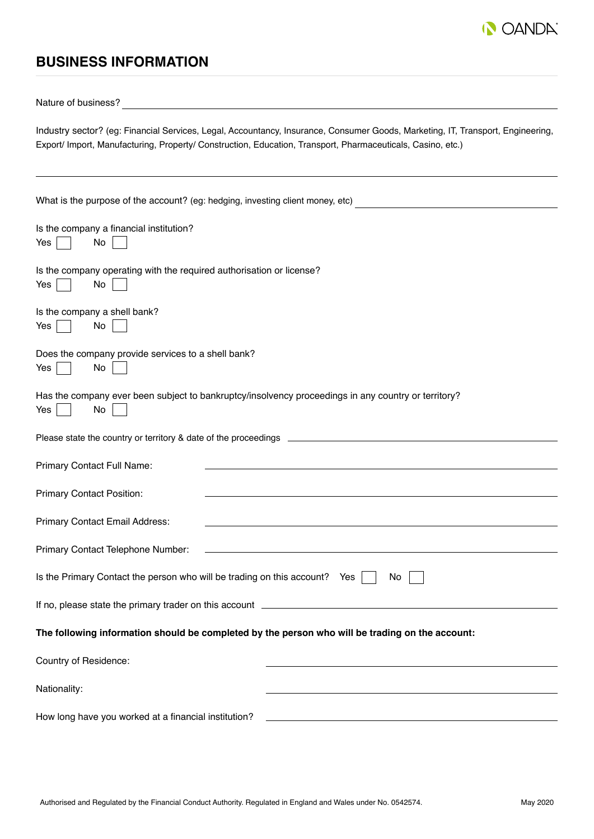

## **BUSINESS INFORMATION**

Nature of business?

Industry sector? (eg: Financial Services, Legal, Accountancy, Insurance, Consumer Goods, Marketing, IT, Transport, Engineering, Export/ Import, Manufacturing, Property/ Construction, Education, Transport, Pharmaceuticals, Casino, etc.)

| What is the purpose of the account? (eg: hedging, investing client money, etc)                                                                                                                                                                                     |
|--------------------------------------------------------------------------------------------------------------------------------------------------------------------------------------------------------------------------------------------------------------------|
| Is the company a financial institution?                                                                                                                                                                                                                            |
| No<br>Yes                                                                                                                                                                                                                                                          |
| Is the company operating with the required authorisation or license?<br>No<br>Yes                                                                                                                                                                                  |
| Is the company a shell bank?<br>No<br>Yes                                                                                                                                                                                                                          |
| Does the company provide services to a shell bank?<br>No<br>Yes                                                                                                                                                                                                    |
| Has the company ever been subject to bankruptcy/insolvency proceedings in any country or territory?<br>No<br>Yes                                                                                                                                                   |
|                                                                                                                                                                                                                                                                    |
| Primary Contact Full Name:                                                                                                                                                                                                                                         |
| <b>Primary Contact Position:</b>                                                                                                                                                                                                                                   |
| Primary Contact Email Address:                                                                                                                                                                                                                                     |
| Primary Contact Telephone Number:<br>the control of the control of the control of the control of the control of the control of the control of the control of the control of the control of the control of the control of the control of the control of the control |
| Is the Primary Contact the person who will be trading on this account? Yes<br>No                                                                                                                                                                                   |
| If no, please state the primary trader on this account _                                                                                                                                                                                                           |
| The following information should be completed by the person who will be trading on the account:                                                                                                                                                                    |
| Country of Residence:                                                                                                                                                                                                                                              |
| Nationality:                                                                                                                                                                                                                                                       |
| How long have you worked at a financial institution?                                                                                                                                                                                                               |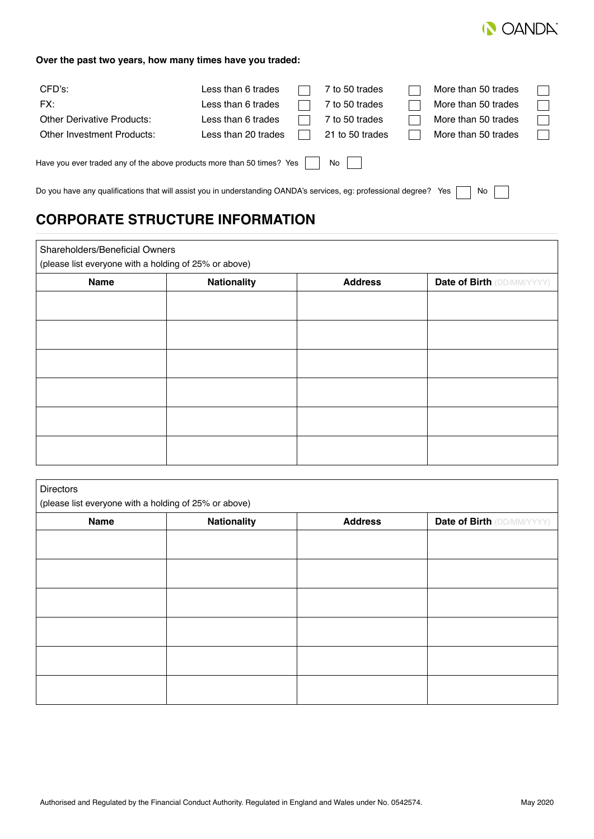

#### **Over the past two years, how many times have you traded:**

| CFD's:                                                                 | Less than 6 trades  | 7 to 50 trades  | More than 50 trades |  |
|------------------------------------------------------------------------|---------------------|-----------------|---------------------|--|
| FX:                                                                    | Less than 6 trades  | 7 to 50 trades  | More than 50 trades |  |
| <b>Other Derivative Products:</b>                                      | Less than 6 trades  | 7 to 50 trades  | More than 50 trades |  |
| Other Investment Products:                                             | Less than 20 trades | 21 to 50 trades | More than 50 trades |  |
| Have you ever traded any of the above products more than 50 times? Yes |                     | No              |                     |  |

Do you have any qualifications that will assist you in understanding OANDA's services, eg: professional degree? Yes  $\Box$  No  $\Box$  $\overline{\phantom{0}}$ 

## **CORPORATE STRUCTURE INFORMATION**

 $\sqrt{2}$ 

| Shareholders/Beneficial Owners<br>(please list everyone with a holding of 25% or above) |                    |                |                                   |
|-----------------------------------------------------------------------------------------|--------------------|----------------|-----------------------------------|
| Name                                                                                    | <b>Nationality</b> | <b>Address</b> | <b>Date of Birth (DD/MM/YYYY)</b> |
|                                                                                         |                    |                |                                   |
|                                                                                         |                    |                |                                   |
|                                                                                         |                    |                |                                   |
|                                                                                         |                    |                |                                   |
|                                                                                         |                    |                |                                   |
|                                                                                         |                    |                |                                   |

| <b>Directors</b>                                      |                    |                |                                   |  |
|-------------------------------------------------------|--------------------|----------------|-----------------------------------|--|
| (please list everyone with a holding of 25% or above) |                    |                |                                   |  |
| <b>Name</b>                                           | <b>Nationality</b> | <b>Address</b> | <b>Date of Birth (DD/MM/YYYY)</b> |  |
|                                                       |                    |                |                                   |  |
|                                                       |                    |                |                                   |  |
|                                                       |                    |                |                                   |  |
|                                                       |                    |                |                                   |  |
|                                                       |                    |                |                                   |  |
|                                                       |                    |                |                                   |  |
|                                                       |                    |                |                                   |  |
|                                                       |                    |                |                                   |  |
|                                                       |                    |                |                                   |  |
|                                                       |                    |                |                                   |  |
|                                                       |                    |                |                                   |  |
|                                                       |                    |                |                                   |  |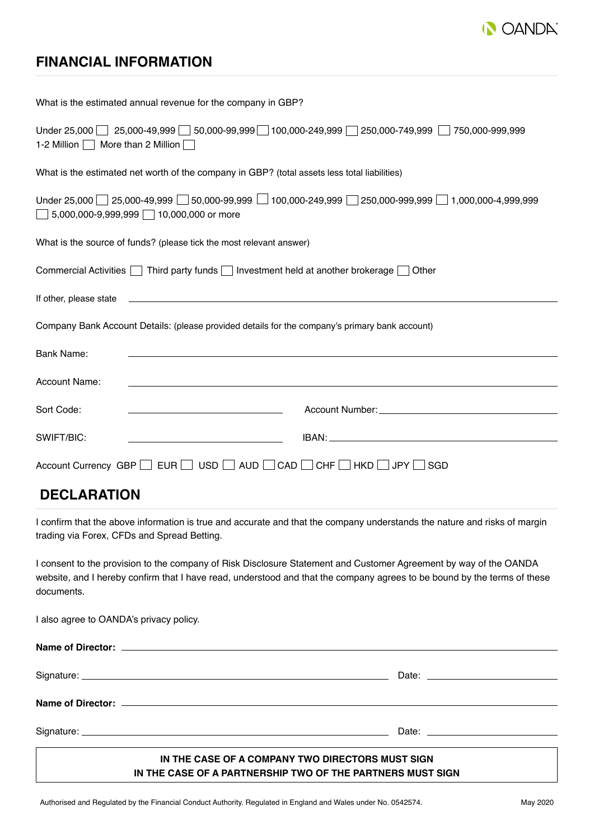

## **FINANCIAL INFORMATION**

| What is the estimated annual revenue for the company in GBP?                                                                                                                                                                                                |
|-------------------------------------------------------------------------------------------------------------------------------------------------------------------------------------------------------------------------------------------------------------|
| Under 25,000 25,000-49,999 50,000-99,999 100,000-249,999 250,000-749,999 750,000-999,999<br>1-2 Million $\Box$ More than 2 Million $\Box$                                                                                                                   |
| What is the estimated net worth of the company in GBP? (total assets less total liabilities)                                                                                                                                                                |
| Under 25,000 $\Box$ 25,000-49,999 $\Box$ 50,000-99,999 $\Box$ 100,000-249,999 $\Box$ 250,000-999,999 $\Box$ 1,000,000-4,999,999<br>$\Box$ 5,000,000-9,999,999 $\Box$ 10,000,000 or more                                                                     |
| What is the source of funds? (please tick the most relevant answer)                                                                                                                                                                                         |
| Commercial Activities $\Box$ Third party funds $\Box$ Investment held at another brokerage $\Box$ Other                                                                                                                                                     |
| If other, please state entertainment and the state of the state of the state of the state of the state of the state of the state of the state of the state of the state of the state of the state of the state of the state of                              |
| Company Bank Account Details: (please provided details for the company's primary bank account)                                                                                                                                                              |
| Bank Name:                                                                                                                                                                                                                                                  |
| <b>Account Name:</b>                                                                                                                                                                                                                                        |
| <u> 1980 - Johann Barbara, martin amerikan basar da</u><br>Sort Code:                                                                                                                                                                                       |
| SWIFT/BIC:                                                                                                                                                                                                                                                  |
| Account Currency GBP DEUR DUSD DAUD DCAD CHF DHKD DJPY DSGD                                                                                                                                                                                                 |
| <b>DECLARATION</b>                                                                                                                                                                                                                                          |
| I confirm that the above information is true and accurate and that the company understands the nature and risks of margin<br>trading via Forex, CFDs and Spread Betting.                                                                                    |
| I consent to the provision to the company of Risk Disclosure Statement and Customer Agreement by way of the OANDA<br>website, and I hereby confirm that I have read, understood and that the company agrees to be bound by the terms of these<br>documents. |
| I also agree to OANDA's privacy policy.                                                                                                                                                                                                                     |

| IN THE CASE OF A COMPANY TWO DIDECTORS MUST SIGN. |  |
|---------------------------------------------------|--|

#### **IN THE CASE OF A COMPANY TWO DIRECTORS MUST SIGN IN THE CASE OF A PARTNERSHIP TWO OF THE PARTNERS MUST SIGN**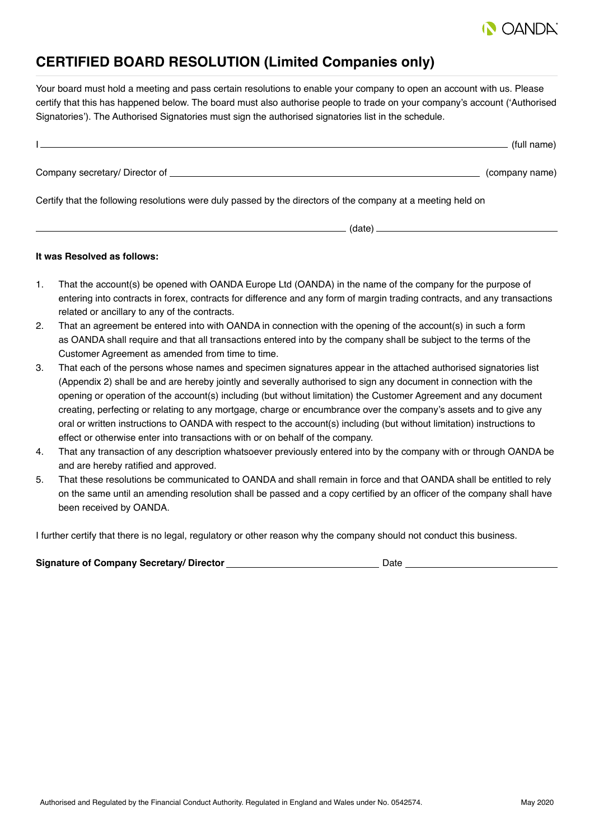

## **CERTIFIED BOARD RESOLUTION (Limited Companies only)**

Your board must hold a meeting and pass certain resolutions to enable your company to open an account with us. Please certify that this has happened below. The board must also authorise people to trade on your company's account ('Authorised Signatories'). The Authorised Signatories must sign the authorised signatories list in the schedule.

|                                | (full name)    |
|--------------------------------|----------------|
| Company secretary/ Director of | (company name) |

Certify that the following resolutions were duly passed by the directors of the company at a meeting held on

(date)

#### **It was Resolved as follows:**

- 1. That the account(s) be opened with OANDA Europe Ltd (OANDA) in the name of the company for the purpose of entering into contracts in forex, contracts for difference and any form of margin trading contracts, and any transactions related or ancillary to any of the contracts.
- 2. That an agreement be entered into with OANDA in connection with the opening of the account(s) in such a form as OANDA shall require and that all transactions entered into by the company shall be subject to the terms of the Customer Agreement as amended from time to time.
- 3. That each of the persons whose names and specimen signatures appear in the attached authorised signatories list (Appendix 2) shall be and are hereby jointly and severally authorised to sign any document in connection with the opening or operation of the account(s) including (but without limitation) the Customer Agreement and any document creating, perfecting or relating to any mortgage, charge or encumbrance over the company's assets and to give any oral or written instructions to OANDA with respect to the account(s) including (but without limitation) instructions to effect or otherwise enter into transactions with or on behalf of the company.
- 4. That any transaction of any description whatsoever previously entered into by the company with or through OANDA be and are hereby ratified and approved.
- 5. That these resolutions be communicated to OANDA and shall remain in force and that OANDA shall be entitled to rely on the same until an amending resolution shall be passed and a copy certified by an officer of the company shall have been received by OANDA.

I further certify that there is no legal, regulatory or other reason why the company should not conduct this business.

| Signature of Company Secretary/ Director | Date |
|------------------------------------------|------|
|                                          |      |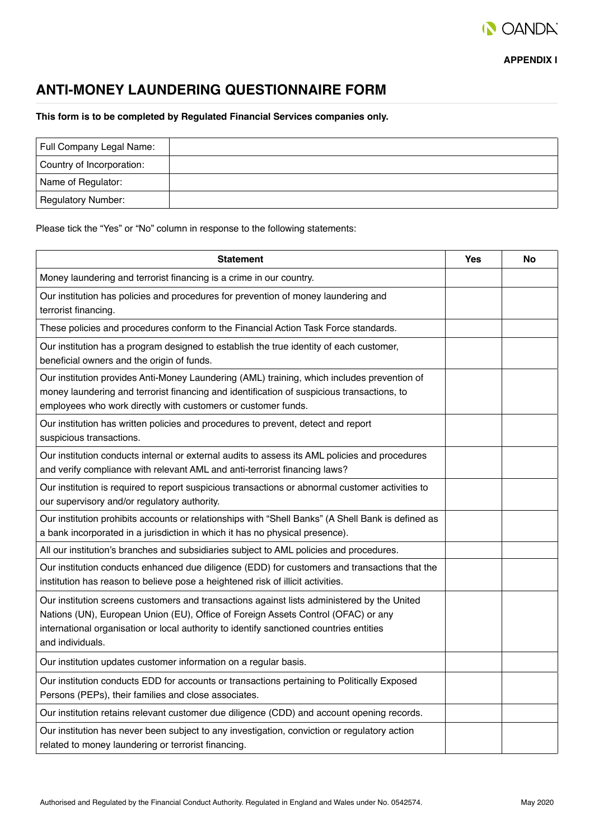

**APPENDIX I**

## **ANTI-MONEY LAUNDERING QUESTIONNAIRE FORM**

**This form is to be completed by Regulated Financial Services companies only.**

| Full Company Legal Name:  |  |
|---------------------------|--|
| Country of Incorporation: |  |
| Name of Regulator:        |  |
| Regulatory Number:        |  |

Please tick the "Yes" or "No" column in response to the following statements:

| <b>Statement</b>                                                                                                                                                                                                                                                                                | Yes | No |
|-------------------------------------------------------------------------------------------------------------------------------------------------------------------------------------------------------------------------------------------------------------------------------------------------|-----|----|
| Money laundering and terrorist financing is a crime in our country.                                                                                                                                                                                                                             |     |    |
| Our institution has policies and procedures for prevention of money laundering and<br>terrorist financing.                                                                                                                                                                                      |     |    |
| These policies and procedures conform to the Financial Action Task Force standards.                                                                                                                                                                                                             |     |    |
| Our institution has a program designed to establish the true identity of each customer,<br>beneficial owners and the origin of funds.                                                                                                                                                           |     |    |
| Our institution provides Anti-Money Laundering (AML) training, which includes prevention of<br>money laundering and terrorist financing and identification of suspicious transactions, to<br>employees who work directly with customers or customer funds.                                      |     |    |
| Our institution has written policies and procedures to prevent, detect and report<br>suspicious transactions.                                                                                                                                                                                   |     |    |
| Our institution conducts internal or external audits to assess its AML policies and procedures<br>and verify compliance with relevant AML and anti-terrorist financing laws?                                                                                                                    |     |    |
| Our institution is required to report suspicious transactions or abnormal customer activities to<br>our supervisory and/or regulatory authority.                                                                                                                                                |     |    |
| Our institution prohibits accounts or relationships with "Shell Banks" (A Shell Bank is defined as<br>a bank incorporated in a jurisdiction in which it has no physical presence).                                                                                                              |     |    |
| All our institution's branches and subsidiaries subject to AML policies and procedures.                                                                                                                                                                                                         |     |    |
| Our institution conducts enhanced due diligence (EDD) for customers and transactions that the<br>institution has reason to believe pose a heightened risk of illicit activities.                                                                                                                |     |    |
| Our institution screens customers and transactions against lists administered by the United<br>Nations (UN), European Union (EU), Office of Foreign Assets Control (OFAC) or any<br>international organisation or local authority to identify sanctioned countries entities<br>and individuals. |     |    |
| Our institution updates customer information on a regular basis.                                                                                                                                                                                                                                |     |    |
| Our institution conducts EDD for accounts or transactions pertaining to Politically Exposed<br>Persons (PEPs), their families and close associates.                                                                                                                                             |     |    |
| Our institution retains relevant customer due diligence (CDD) and account opening records.                                                                                                                                                                                                      |     |    |
| Our institution has never been subject to any investigation, conviction or regulatory action<br>related to money laundering or terrorist financing.                                                                                                                                             |     |    |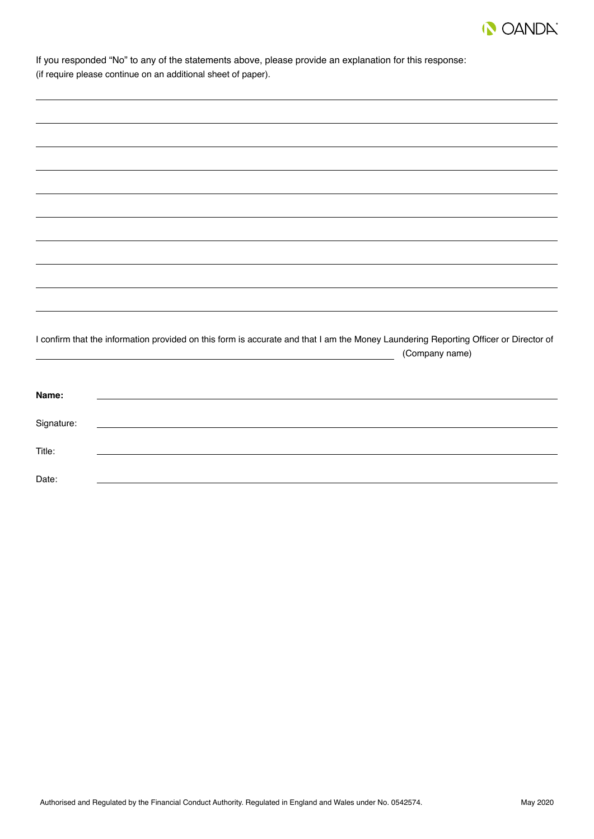

| If you responded "No" to any of the statements above, please provide an explanation for this response:<br>(if require please continue on an additional sheet of paper). |  |  |
|-------------------------------------------------------------------------------------------------------------------------------------------------------------------------|--|--|
|                                                                                                                                                                         |  |  |
|                                                                                                                                                                         |  |  |
|                                                                                                                                                                         |  |  |
|                                                                                                                                                                         |  |  |
|                                                                                                                                                                         |  |  |

| I confirm that the information provided on this form is accurate and that I am the Money Laundering Reporting Officer or Director of |  |
|--------------------------------------------------------------------------------------------------------------------------------------|--|
| (Company name)                                                                                                                       |  |

| Name:      |                                                    |
|------------|----------------------------------------------------|
| Signature: | <u> 1989 - John Stein, Amerikaansk politiker (</u> |
| Title:     |                                                    |
| Date:      |                                                    |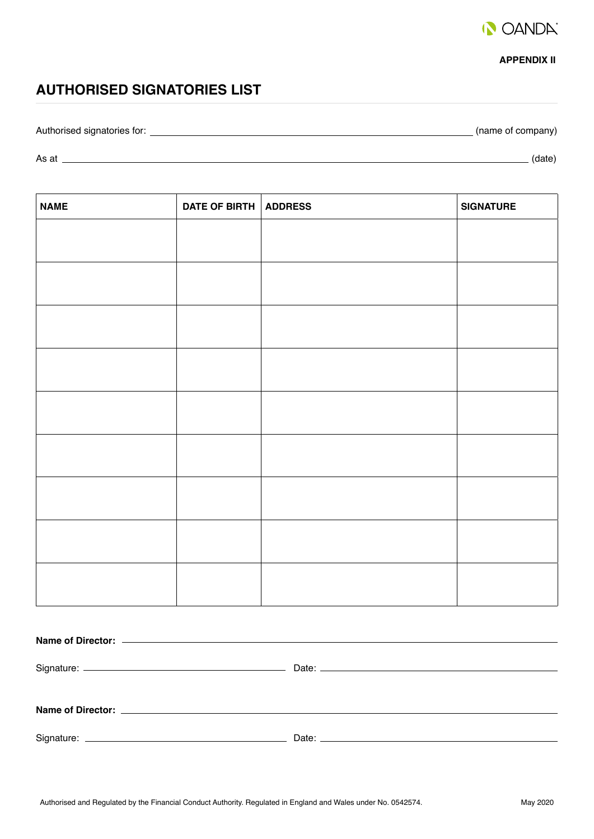

#### **APPENDIX II**

## **AUTHORISED SIGNATORIES LIST**

Authorised signatories for: (name of company)

As at (date)

| <b>NAME</b> | DATE OF BIRTH ADDRESS | <b>SIGNATURE</b> |
|-------------|-----------------------|------------------|
|             |                       |                  |
|             |                       |                  |
|             |                       |                  |
|             |                       |                  |
|             |                       |                  |
|             |                       |                  |
|             |                       |                  |
|             |                       |                  |
|             |                       |                  |
|             |                       |                  |
|             |                       |                  |
|             |                       |                  |
|             |                       |                  |
|             |                       |                  |
|             |                       |                  |
|             |                       |                  |
|             |                       |                  |
|             |                       |                  |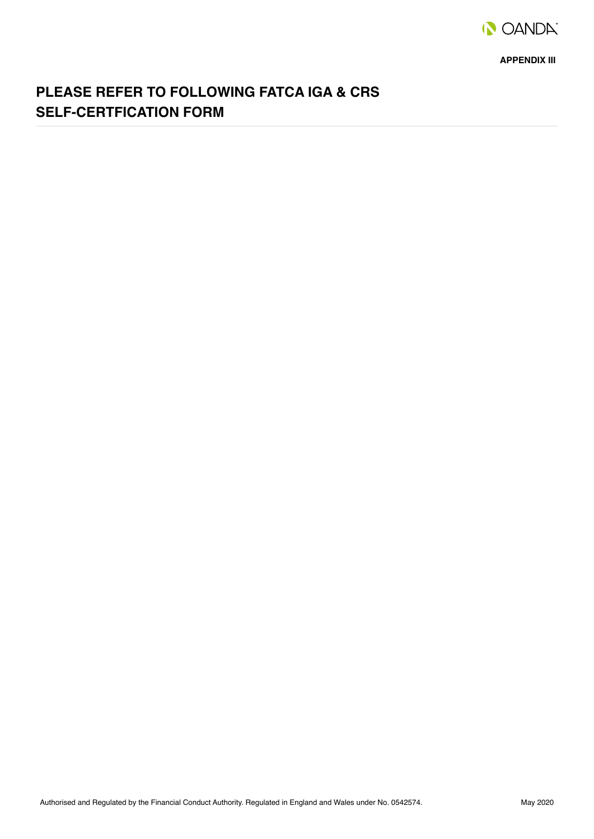

**APPENDIX III**

## **PLEASE REFER TO FOLLOWING FATCA IGA & CRS SELF-CERTFICATION FORM**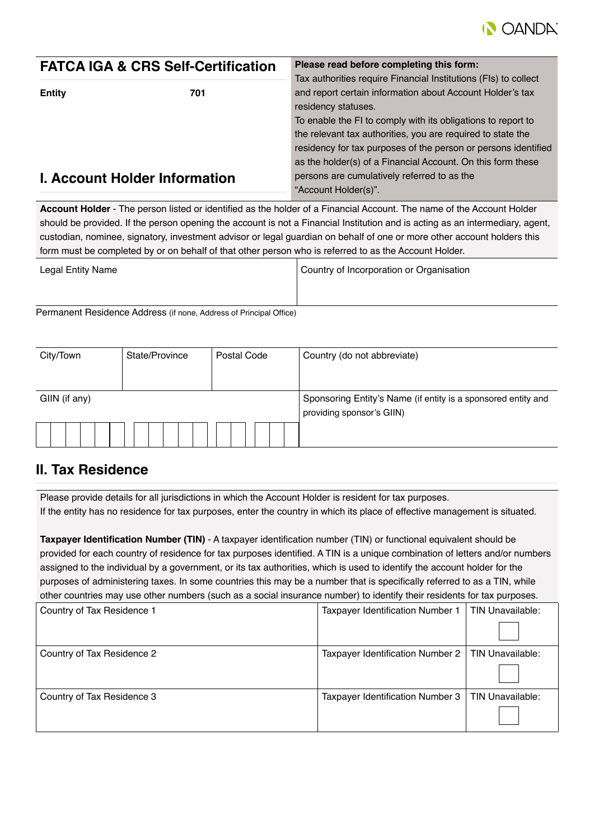

| <b>FATCA IGA &amp; CRS Self-Certification</b> |                                      | Please read before completing this form:                                                                                                                                                                                                                     |  |
|-----------------------------------------------|--------------------------------------|--------------------------------------------------------------------------------------------------------------------------------------------------------------------------------------------------------------------------------------------------------------|--|
| 701<br><b>Entity</b>                          |                                      | Tax authorities require Financial Institutions (FIs) to collect<br>and report certain information about Account Holder's tax<br>residency statuses.                                                                                                          |  |
|                                               |                                      | To enable the FI to comply with its obligations to report to<br>the relevant tax authorities, you are required to state the<br>residency for tax purposes of the person or persons identified<br>as the holder(s) of a Financial Account. On this form these |  |
|                                               | <b>I. Account Holder Information</b> | persons are cumulatively referred to as the<br>"Account Holder(s)".                                                                                                                                                                                          |  |

**Account Holder** - The person listed or identified as the holder of a Financial Account. The name of the Account Holder should be provided. If the person opening the account is not a Financial Institution and is acting as an intermediary, agent, custodian, nominee, signatory, investment advisor or legal guardian on behalf of one or more other account holders this form must be completed by or on behalf of that other person who is referred to as the Account Holder.

| Legal Entity Name | Country of Incorporation or Organisation |
|-------------------|------------------------------------------|
|                   |                                          |

Permanent Residence Address (if none, Address of Principal Office)

| City/Town     | State/Province | Postal Code | Country (do not abbreviate)                                                                |
|---------------|----------------|-------------|--------------------------------------------------------------------------------------------|
| GIIN (if any) |                |             | Sponsoring Entity's Name (if entity is a sponsored entity and<br>providing sponsor's GIIN) |
|               |                |             |                                                                                            |

### **II. Tax Residence**

Please provide details for all jurisdictions in which the Account Holder is resident for tax purposes. If the entity has no residence for tax purposes, enter the country in which its place of effective management is situated.

**Taxpayer Identification Number (TIN)** - A taxpayer identification number (TIN) or functional equivalent should be provided for each country of residence for tax purposes identified. A TIN is a unique combination of letters and/or numbers assigned to the individual by a government, or its tax authorities, which is used to identify the account holder for the purposes of administering taxes. In some countries this may be a number that is specifically referred to as a TIN, while other countries may use other numbers (such as a social insurance number) to identify their residents for tax purposes.

| Country of Tax Residence 1 | Taxpayer Identification Number 1 | TIN Unavailable:        |
|----------------------------|----------------------------------|-------------------------|
|                            |                                  |                         |
| Country of Tax Residence 2 | Taxpayer Identification Number 2 | TIN Unavailable:        |
|                            |                                  |                         |
| Country of Tax Residence 3 | Taxpayer Identification Number 3 | <b>TIN Unavailable:</b> |
|                            |                                  |                         |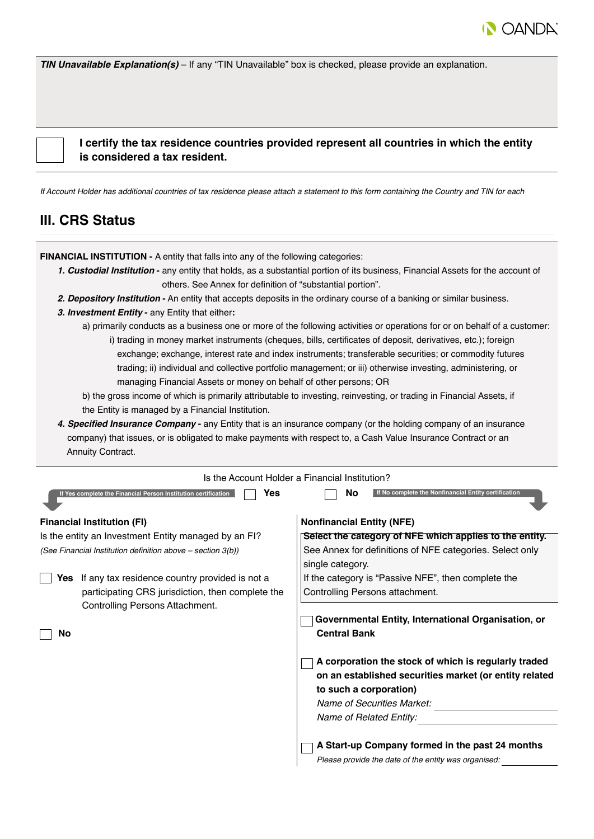

*TIN Unavailable Explanation(s)* – If any "TIN Unavailable" box is checked, please provide an explanation.

 **I certify the tax residence countries provided represent all countries in which the entity is considered a tax resident.**

*If Account Holder has additional countries of tax residence please attach a statement to this form containing the Country and TIN for each*

#### **III. CRS Status**

**FINANCIAL INSTITUTION -** A entity that falls into any of the following categories:

- *1. Custodial Institution*any entity that holds, as a substantial portion of its business, Financial Assets for the account of others. See Annex for definition of "substantial portion".
- *2. Depository Institution* **-** An entity that accepts deposits in the ordinary course of a banking or similar business.
- *3. Investment Entity* any Entity that either**:**
	- a) primarily conducts as a business one or more of the following activities or operations for or on behalf of a customer: i) trading in money market instruments (cheques, bills, certificates of deposit, derivatives, etc.); foreign exchange; exchange, interest rate and index instruments; transferable securities; or commodity futures
		- trading; ii) individual and collective portfolio management; or iii) otherwise investing, administering, or managing Financial Assets or money on behalf of other persons; OR
	- b) the gross income of which is primarily attributable to investing, reinvesting, or trading in Financial Assets, if the Entity is managed by a Financial Institution.
- **4. Specified Insurance Company -** any Entity that is an insurance company (or the holding company of an insurance company) that issues, or is obligated to make payments with respect to, a Cash Value Insurance Contract or an Annuity Contract.

|     | Is the Account Holder a Financial Institution?                        |                                  |                                                                                                                                                                                                   |
|-----|-----------------------------------------------------------------------|----------------------------------|---------------------------------------------------------------------------------------------------------------------------------------------------------------------------------------------------|
|     | Yes<br>If Yes complete the Financial Person Institution certification | No                               | If No complete the Nonfinancial Entity certification                                                                                                                                              |
|     | <b>Financial Institution (FI)</b>                                     | <b>Nonfinancial Entity (NFE)</b> |                                                                                                                                                                                                   |
|     | Is the entity an Investment Entity managed by an FI?                  |                                  | Select the category of NFE which applies to the entity.                                                                                                                                           |
|     | (See Financial Institution definition above - section 3(b))           | single category.                 | See Annex for definitions of NFE categories. Select only                                                                                                                                          |
| Yes | If any tax residence country provided is not a                        |                                  | If the category is "Passive NFE", then complete the                                                                                                                                               |
|     | participating CRS jurisdiction, then complete the                     |                                  | Controlling Persons attachment.                                                                                                                                                                   |
|     | Controlling Persons Attachment.                                       |                                  |                                                                                                                                                                                                   |
|     |                                                                       |                                  | Governmental Entity, International Organisation, or                                                                                                                                               |
| No  |                                                                       | <b>Central Bank</b>              |                                                                                                                                                                                                   |
|     |                                                                       |                                  | A corporation the stock of which is regularly traded<br>on an established securities market (or entity related<br>to such a corporation)<br>Name of Securities Market:<br>Name of Related Entity: |
|     |                                                                       |                                  | A Start-up Company formed in the past 24 months                                                                                                                                                   |
|     |                                                                       |                                  | Please provide the date of the entity was organised:                                                                                                                                              |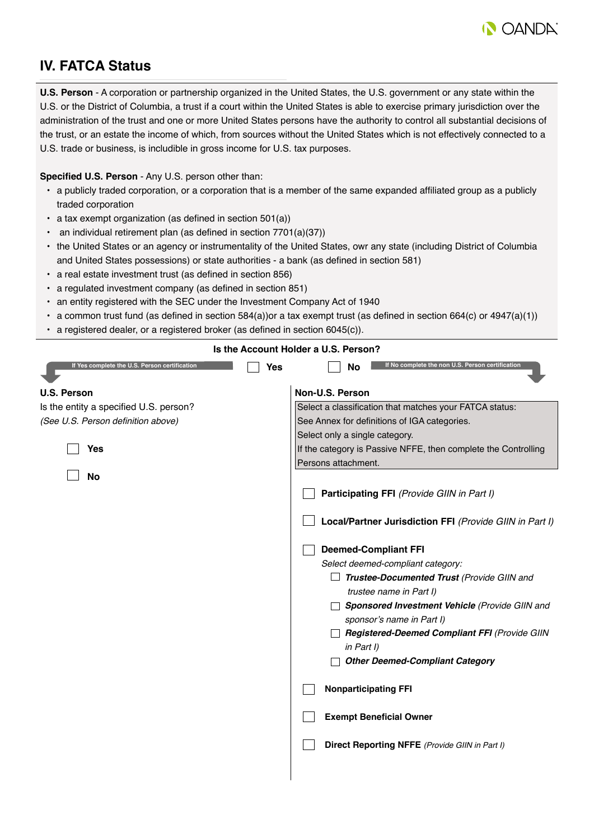

## **IV. FATCA Status**

**U.S. Person** - A corporation or partnership organized in the United States, the U.S. government or any state within the U.S. or the District of Columbia, a trust if a court within the United States is able to exercise primary jurisdiction over the administration of the trust and one or more United States persons have the authority to control all substantial decisions of the trust, or an estate the income of which, from sources without the United States which is not effectively connected to a U.S. trade or business, is includible in gross income for U.S. tax purposes.

#### **Specified U.S. Person** - Any U.S. person other than:

- a publicly traded corporation, or a corporation that is a member of the same expanded affiliated group as a publicly traded corporation
- a tax exempt organization (as defined in section 501(a))
- an individual retirement plan (as defined in section 7701(a)(37))
- the United States or an agency or instrumentality of the United States, owr any state (including District of Columbia and United States possessions) or state authorities - a bank (as defined in section 581)
- a real estate investment trust (as defined in section 856)
- a regulated investment company (as defined in section 851)
- an entity registered with the SEC under the Investment Company Act of 1940
- $\cdot$  a common trust fund (as defined in section 584(a))or a tax exempt trust (as defined in section 664(c) or 4947(a)(1))
- a registered dealer, or a registered broker (as defined in section 6045(c)).

| Is the Account Holder a U.S. Person?          |                                                                |
|-----------------------------------------------|----------------------------------------------------------------|
| If Yes complete the U.S. Person certification | If No complete the non U.S. Person certification<br>Yes<br>No  |
| <b>U.S. Person</b>                            | Non-U.S. Person                                                |
| Is the entity a specified U.S. person?        | Select a classification that matches your FATCA status:        |
| (See U.S. Person definition above)            | See Annex for definitions of IGA categories.                   |
|                                               | Select only a single category.                                 |
| Yes                                           | If the category is Passive NFFE, then complete the Controlling |
|                                               | Persons attachment.                                            |
| <b>No</b>                                     |                                                                |
|                                               | Participating FFI (Provide GIIN in Part I)                     |
|                                               | Local/Partner Jurisdiction FFI (Provide GIIN in Part I)        |
|                                               | <b>Deemed-Compliant FFI</b>                                    |
|                                               | Select deemed-compliant category:                              |
|                                               | Trustee-Documented Trust (Provide GIIN and                     |
|                                               | trustee name in Part I)                                        |
|                                               | Sponsored Investment Vehicle (Provide GIIN and                 |
|                                               | sponsor's name in Part I)                                      |
|                                               | Registered-Deemed Compliant FFI (Provide GIIN                  |
|                                               | in Part I)                                                     |
|                                               | <b>Other Deemed-Compliant Category</b>                         |
|                                               | <b>Nonparticipating FFI</b>                                    |
|                                               | <b>Exempt Beneficial Owner</b>                                 |
|                                               | Direct Reporting NFFE (Provide GIIN in Part I)                 |
|                                               |                                                                |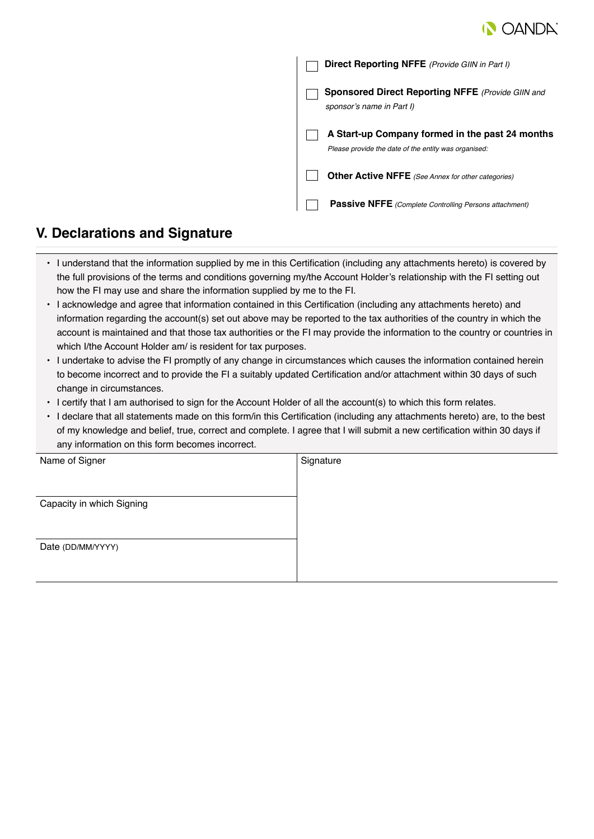

|  | Direct Reporting NFFE (Provide GIIN in Part I)                                                          |
|--|---------------------------------------------------------------------------------------------------------|
|  | <b>Sponsored Direct Reporting NFFE</b> (Provide GIIN and<br>sponsor's name in Part I)                   |
|  | A Start-up Company formed in the past 24 months<br>Please provide the date of the entity was organised: |
|  | <b>Other Active NFFE</b> (See Annex for other categories)                                               |
|  | <b>Passive NFFE</b> (Complete Controlling Persons attachment)                                           |

### **V. Declarations and Signature**

- I understand that the information supplied by me in this Certification (including any attachments hereto) is covered by the full provisions of the terms and conditions governing my/the Account Holder's relationship with the FI setting out how the FI may use and share the information supplied by me to the FI.
- I acknowledge and agree that information contained in this Certification (including any attachments hereto) and information regarding the account(s) set out above may be reported to the tax authorities of the country in which the account is maintained and that those tax authorities or the FI may provide the information to the country or countries in which I/the Account Holder am/ is resident for tax purposes.
- I undertake to advise the FI promptly of any change in circumstances which causes the information contained herein to become incorrect and to provide the FI a suitably updated Certification and/or attachment within 30 days of such change in circumstances.
- I certify that I am authorised to sign for the Account Holder of all the account(s) to which this form relates.
- I declare that all statements made on this form/in this Certification (including any attachments hereto) are, to the best of my knowledge and belief, true, correct and complete. I agree that I will submit a new certification within 30 days if any information on this form becomes incorrect.

| Name of Signer            | Signature |
|---------------------------|-----------|
|                           |           |
|                           |           |
| Capacity in which Signing |           |
|                           |           |
|                           |           |
| Date (DD/MM/YYYY)         |           |
|                           |           |
|                           |           |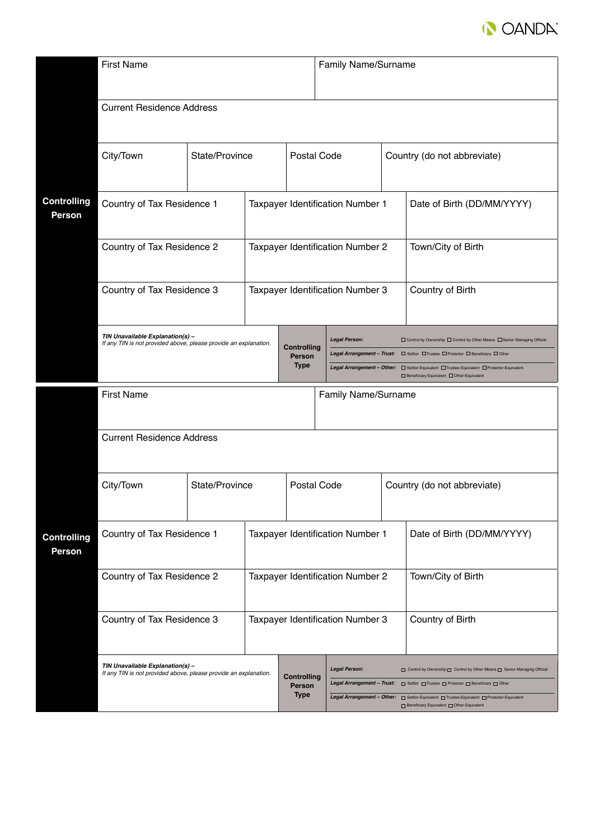

|                                     | <b>First Name</b>                                                                                                   |                                  |                                  |                                  | Family Name/Surname                                                                                                                               |                            |                                                                                                                                                                                                                                   |  |
|-------------------------------------|---------------------------------------------------------------------------------------------------------------------|----------------------------------|----------------------------------|----------------------------------|---------------------------------------------------------------------------------------------------------------------------------------------------|----------------------------|-----------------------------------------------------------------------------------------------------------------------------------------------------------------------------------------------------------------------------------|--|
|                                     |                                                                                                                     | <b>Current Residence Address</b> |                                  |                                  |                                                                                                                                                   |                            |                                                                                                                                                                                                                                   |  |
|                                     | City/Town                                                                                                           | State/Province                   |                                  | Postal Code                      |                                                                                                                                                   |                            | Country (do not abbreviate)                                                                                                                                                                                                       |  |
| <b>Controlling</b><br><b>Person</b> | Country of Tax Residence 1                                                                                          |                                  | Taxpayer Identification Number 1 |                                  | Date of Birth (DD/MM/YYYY)                                                                                                                        |                            |                                                                                                                                                                                                                                   |  |
|                                     | Country of Tax Residence 2                                                                                          |                                  |                                  | Taxpayer Identification Number 2 |                                                                                                                                                   |                            | Town/City of Birth                                                                                                                                                                                                                |  |
|                                     | Country of Tax Residence 3                                                                                          |                                  |                                  |                                  | Taxpayer Identification Number 3                                                                                                                  |                            | Country of Birth                                                                                                                                                                                                                  |  |
|                                     | TIN Unavailable Explanation(s) -<br>If any TIN is not provided above, please provide an explanation.<br><b>Type</b> |                                  |                                  | Controlling<br>Person            | <b>Legal Person:</b><br>□ Control by Ownership □ Control by Other Means □ Senior Managing Official<br>□ Beneficiary Equivalent □ Other-Equivalent |                            |                                                                                                                                                                                                                                   |  |
|                                     | <b>First Name</b><br>Family Name/Surname                                                                            |                                  |                                  |                                  |                                                                                                                                                   |                            |                                                                                                                                                                                                                                   |  |
|                                     | <b>Current Residence Address</b>                                                                                    |                                  |                                  |                                  |                                                                                                                                                   |                            |                                                                                                                                                                                                                                   |  |
|                                     | City/Town                                                                                                           | State/Province                   |                                  |                                  | Postal Code                                                                                                                                       |                            | Country (do not abbreviate)                                                                                                                                                                                                       |  |
| <b>Controlling</b><br><b>Person</b> | Country of Tax Residence 1<br>Country of Tax Residence 2                                                            |                                  | Taxpayer Identification Number 1 |                                  |                                                                                                                                                   | Date of Birth (DD/MM/YYYY) |                                                                                                                                                                                                                                   |  |
|                                     |                                                                                                                     |                                  | Taxpayer Identification Number 2 |                                  | Town/City of Birth                                                                                                                                |                            |                                                                                                                                                                                                                                   |  |
|                                     | Country of Tax Residence 3                                                                                          |                                  |                                  |                                  | Taxpayer Identification Number 3                                                                                                                  |                            | Country of Birth                                                                                                                                                                                                                  |  |
|                                     | TIN Unavailable Explanation(s) -<br>If any TIN is not provided above, please provide an explanation.<br><b>Type</b> |                                  |                                  | <b>Controlling</b><br>Person     | <b>Legal Person:</b>                                                                                                                              |                            | Control by Ownership Control by Other Means C Senior Managing Official<br>Legal Arrangement - Trust:<br>$\Box$ Settlor $\Box$ Trustee $\Box$ Protector $\Box$ Beneficiary $\Box$ Other<br>Beneficiary Equivalent Other-Equivalent |  |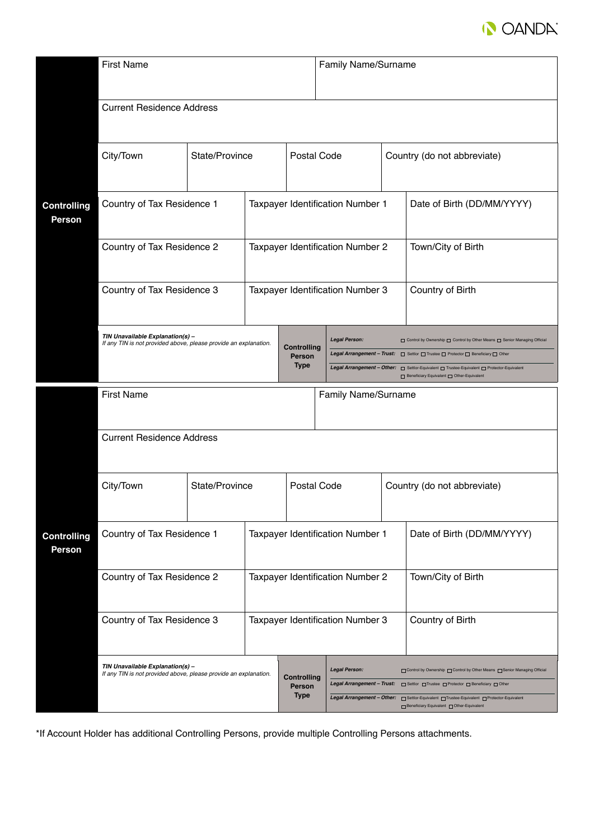

|                                     | <b>First Name</b>                                                                                    |                |                                  |                                      | Family Name/Surname                                                                                                                                                                                                                                                                                                                                                   |                            |                             |  |
|-------------------------------------|------------------------------------------------------------------------------------------------------|----------------|----------------------------------|--------------------------------------|-----------------------------------------------------------------------------------------------------------------------------------------------------------------------------------------------------------------------------------------------------------------------------------------------------------------------------------------------------------------------|----------------------------|-----------------------------|--|
|                                     | <b>Current Residence Address</b>                                                                     |                |                                  |                                      |                                                                                                                                                                                                                                                                                                                                                                       |                            |                             |  |
|                                     | City/Town                                                                                            | State/Province |                                  | Postal Code                          |                                                                                                                                                                                                                                                                                                                                                                       |                            | Country (do not abbreviate) |  |
| <b>Controlling</b><br><b>Person</b> | Country of Tax Residence 1                                                                           |                |                                  | Taxpayer Identification Number 1     |                                                                                                                                                                                                                                                                                                                                                                       | Date of Birth (DD/MM/YYYY) |                             |  |
|                                     | Country of Tax Residence 2                                                                           |                |                                  | Taxpayer Identification Number 2     |                                                                                                                                                                                                                                                                                                                                                                       |                            | Town/City of Birth          |  |
|                                     | Country of Tax Residence 3                                                                           |                |                                  |                                      | Taxpayer Identification Number 3                                                                                                                                                                                                                                                                                                                                      |                            | Country of Birth            |  |
|                                     | TIN Unavailable Explanation(s) -<br>If any TIN is not provided above, please provide an explanation. |                |                                  | Controlling<br>Person<br><b>Type</b> | <b>Legal Person:</b><br>Control by Ownership Control by Other Means C Senior Managing Official<br>Legal Arrangement - Trust: $\Box$ Settlor $\Box$ Trustee $\Box$ Protector $\Box$ Beneficiary $\Box$ Other<br>Legal Arrangement - Other:<br>Settlor-Equivalent nutries-Equivalent nutries-Equivalent nutries-Equivalent<br>Beneficiary Equivalent [ Other-Equivalent |                            |                             |  |
|                                     | <b>First Name</b><br>Family Name/Surname                                                             |                |                                  |                                      |                                                                                                                                                                                                                                                                                                                                                                       |                            |                             |  |
|                                     | <b>Current Residence Address</b>                                                                     |                |                                  |                                      |                                                                                                                                                                                                                                                                                                                                                                       |                            |                             |  |
|                                     | City/Town                                                                                            | State/Province |                                  | Postal Code                          |                                                                                                                                                                                                                                                                                                                                                                       |                            | Country (do not abbreviate) |  |
| <b>Controlling</b><br>Person        | Country of Tax Residence 1<br>Country of Tax Residence 2<br>Country of Tax Residence 3               |                | Taxpayer Identification Number 1 |                                      |                                                                                                                                                                                                                                                                                                                                                                       | Date of Birth (DD/MM/YYYY) |                             |  |
|                                     |                                                                                                      |                | Taxpayer Identification Number 2 |                                      |                                                                                                                                                                                                                                                                                                                                                                       | Town/City of Birth         |                             |  |
|                                     |                                                                                                      |                | Taxpayer Identification Number 3 |                                      |                                                                                                                                                                                                                                                                                                                                                                       | Country of Birth           |                             |  |
|                                     |                                                                                                      |                |                                  |                                      |                                                                                                                                                                                                                                                                                                                                                                       |                            |                             |  |

\*If Account Holder has additional Controlling Persons, provide multiple Controlling Persons attachments.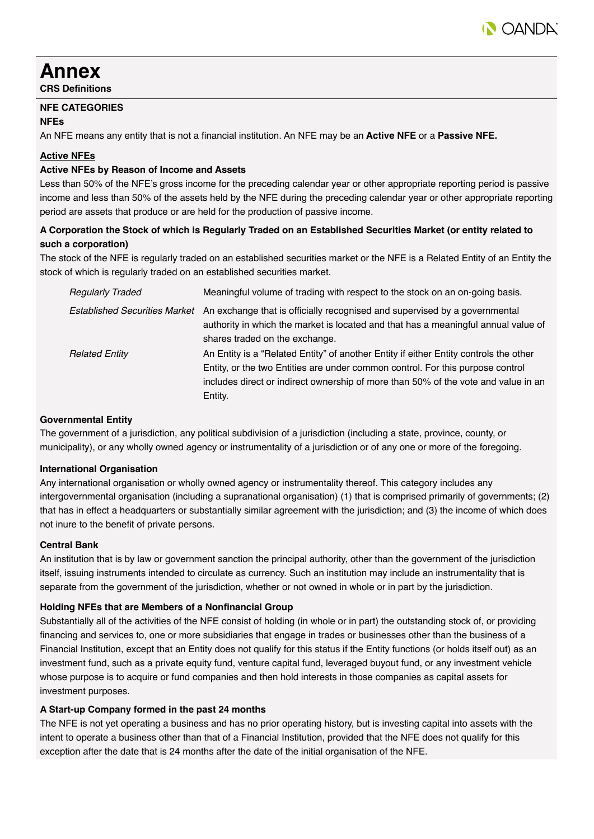

## **Annex**

**CRS Definitions**

#### **NFE CATEGORIES**

#### **NFEs**

An NFE means any entity that is not a financial institution. An NFE may be an **Active NFE** or a **Passive NFE.**

#### **Active NFEs**

#### **Active NFEs by Reason of Income and Assets**

Less than 50% of the NFE's gross income for the preceding calendar year or other appropriate reporting period is passive income and less than 50% of the assets held by the NFE during the preceding calendar year or other appropriate reporting period are assets that produce or are held for the production of passive income.

#### **A Corporation the Stock of which is Regularly Traded on an Established Securities Market (or entity related to such a corporation)**

The stock of the NFE is regularly traded on an established securities market or the NFE is a Related Entity of an Entity the stock of which is regularly traded on an established securities market.

| <b>Regularly Traded</b>       | Meaningful volume of trading with respect to the stock on an on-going basis.                                                                                                                                                                                             |
|-------------------------------|--------------------------------------------------------------------------------------------------------------------------------------------------------------------------------------------------------------------------------------------------------------------------|
| Established Securities Market | An exchange that is officially recognised and supervised by a governmental<br>authority in which the market is located and that has a meaningful annual value of<br>shares traded on the exchange.                                                                       |
| <b>Related Entity</b>         | An Entity is a "Related Entity" of another Entity if either Entity controls the other<br>Entity, or the two Entities are under common control. For this purpose control<br>includes direct or indirect ownership of more than 50% of the vote and value in an<br>Entity. |

#### **Governmental Entity**

The government of a jurisdiction, any political subdivision of a jurisdiction (including a state, province, county, or municipality), or any wholly owned agency or instrumentality of a jurisdiction or of any one or more of the foregoing.

#### **International Organisation**

Any international organisation or wholly owned agency or instrumentality thereof. This category includes any intergovernmental organisation (including a supranational organisation) (1) that is comprised primarily of governments; (2) that has in effect a headquarters or substantially similar agreement with the jurisdiction; and (3) the income of which does not inure to the benefit of private persons.

#### **Central Bank**

An institution that is by law or government sanction the principal authority, other than the government of the jurisdiction itself, issuing instruments intended to circulate as currency. Such an institution may include an instrumentality that is separate from the government of the jurisdiction, whether or not owned in whole or in part by the jurisdiction.

#### **Holding NFEs that are Members of a Nonfinancial Group**

Substantially all of the activities of the NFE consist of holding (in whole or in part) the outstanding stock of, or providing financing and services to, one or more subsidiaries that engage in trades or businesses other than the business of a Financial Institution, except that an Entity does not qualify for this status if the Entity functions (or holds itself out) as an investment fund, such as a private equity fund, venture capital fund, leveraged buyout fund, or any investment vehicle whose purpose is to acquire or fund companies and then hold interests in those companies as capital assets for investment purposes.

#### **A Start-up Company formed in the past 24 months**

The NFE is not yet operating a business and has no prior operating history, but is investing capital into assets with the intent to operate a business other than that of a Financial Institution, provided that the NFE does not qualify for this exception after the date that is 24 months after the date of the initial organisation of the NFE.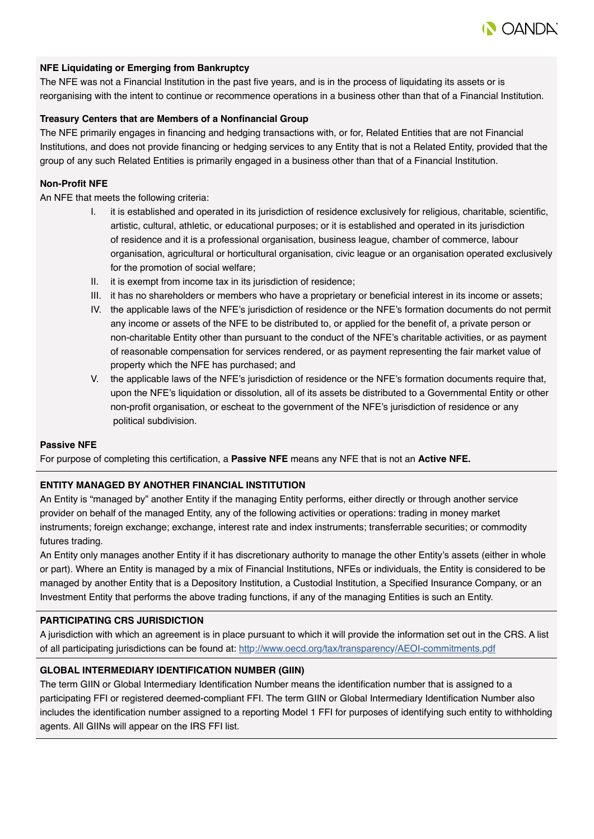

#### **NFE Liquidating or Emerging from Bankruptcy**

The NFE was not a Financial Institution in the past five years, and is in the process of liquidating its assets or is reorganising with the intent to continue or recommence operations in a business other than that of a Financial Institution.

#### **Treasury Centers that are Members of a Nonfinancial Group**

The NFE primarily engages in financing and hedging transactions with, or for, Related Entities that are not Financial Institutions, and does not provide financing or hedging services to any Entity that is not a Related Entity, provided that the group of any such Related Entities is primarily engaged in a business other than that of a Financial Institution.

#### **Non-Profit NFE**

An NFE that meets the following criteria:

- I. it is established and operated in its jurisdiction of residence exclusively for religious, charitable, scientific, artistic, cultural, athletic, or educational purposes; or it is established and operated in its jurisdiction of residence and it is a professional organisation, business league, chamber of commerce, labour organisation, agricultural or horticultural organisation, civic league or an organisation operated exclusively for the promotion of social welfare;
- II. it is exempt from income tax in its jurisdiction of residence;
- III. it has no shareholders or members who have a proprietary or beneficial interest in its income or assets;
- IV. the applicable laws of the NFE's jurisdiction of residence or the NFE's formation documents do not permit any income or assets of the NFE to be distributed to, or applied for the benefit of, a private person or non-charitable Entity other than pursuant to the conduct of the NFE's charitable activities, or as payment of reasonable compensation for services rendered, or as payment representing the fair market value of property which the NFE has purchased; and
- V. the applicable laws of the NFE's jurisdiction of residence or the NFE's formation documents require that, upon the NFE's liquidation or dissolution, all of its assets be distributed to a Governmental Entity or other non-profit organisation, or escheat to the government of the NFE's jurisdiction of residence or any political subdivision.

#### **Passive NFE**

For purpose of completing this certification, a **Passive NFE** means any NFE that is not an **Active NFE.**

#### **ENTITY MANAGED BY ANOTHER FINANCIAL INSTITUTION**

An Entity is "managed by" another Entity if the managing Entity performs, either directly or through another service provider on behalf of the managed Entity, any of the following activities or operations: trading in money market instruments; foreign exchange; exchange, interest rate and index instruments; transferrable securities; or commodity futures trading.

An Entity only manages another Entity if it has discretionary authority to manage the other Entity's assets (either in whole or part). Where an Entity is managed by a mix of Financial Institutions, NFEs or individuals, the Entity is considered to be managed by another Entity that is a Depository Institution, a Custodial Institution, a Specified Insurance Company, or an Investment Entity that performs the above trading functions, if any of the managing Entities is such an Entity.

#### **PARTICIPATING CRS JURISDICTION**

A jurisdiction with which an agreement is in place pursuant to which it will provide the information set out in the CRS. A list of all participating jurisdictions can be found at: http://www.oecd.org/tax/transparency[/AEOI-commitments.](http://www.oecd.org/tax/transparency/AEOI-commitments.pdf)pdf

#### **GLOBAL INTERMEDIARY IDENTIFICATION NUMBER (GIIN)**

The term GIIN or Global Intermediary Identification Number means the identification number that is assigned to a participating FFI or registered deemed-compliant FFI. The term GIIN or Global Intermediary Identification Number also includes the identification number assigned to a reporting Model 1 FFI for purposes of identifying such entity to withholding agents. All GIINs will appear on the IRS FFI list.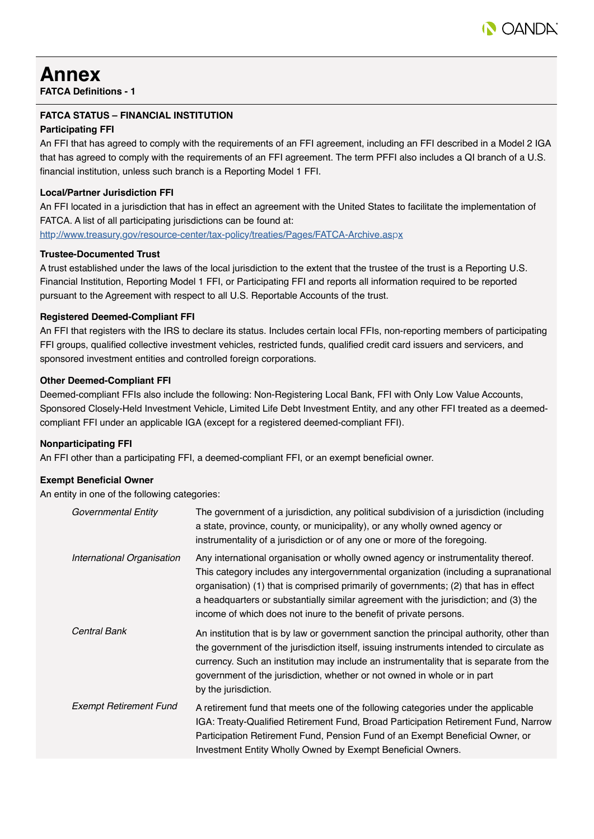

## **Annex**

**FATCA Definitions - 1**

#### **FATCA STATUS – FINANCIAL INSTITUTION**

#### **Participating FFI**

An FFI that has agreed to comply with the requirements of an FFI agreement, including an FFI described in a Model 2 IGA that has agreed to comply with the requirements of an FFI agreement. The term PFFI also includes a QI branch of a U.S. financial institution, unless such branch is a Reporting Model 1 FFI.

#### **Local/Partner Jurisdiction FFI**

An FFI located in a jurisdiction that has in effect an agreement with the United States to facilitate the implementation of FATCA. A list of all participating jurisdictions can be found at:

http://www.treasury.g[ov/resource-center/tax-](https://www.treasury.gov/resource-center/tax-policy/treaties/Pages/FATCA-Archive.aspx)policy/treaties/Pages/FATCA-Archive.aspx

#### **Trustee-Documented Trust**

A trust established under the laws of the local jurisdiction to the extent that the trustee of the trust is a Reporting U.S. Financial Institution, Reporting Model 1 FFI, or Participating FFI and reports all information required to be reported pursuant to the Agreement with respect to all U.S. Reportable Accounts of the trust.

#### **Registered Deemed-Compliant FFI**

An FFI that registers with the IRS to declare its status. Includes certain local FFIs, non-reporting members of participating FFI groups, qualified collective investment vehicles, restricted funds, qualified credit card issuers and servicers, and sponsored investment entities and controlled foreign corporations.

#### **Other Deemed-Compliant FFI**

Deemed-compliant FFIs also include the following: Non-Registering Local Bank, FFI with Only Low Value Accounts, Sponsored Closely-Held Investment Vehicle, Limited Life Debt Investment Entity, and any other FFI treated as a deemedcompliant FFI under an applicable IGA (except for a registered deemed-compliant FFI).

#### **Nonparticipating FFI**

An FFI other than a participating FFI, a deemed-compliant FFI, or an exempt beneficial owner.

#### **Exempt Beneficial Owner**

An entity in one of the following categories:

| Governmental Entity           | The government of a jurisdiction, any political subdivision of a jurisdiction (including<br>a state, province, county, or municipality), or any wholly owned agency or<br>instrumentality of a jurisdiction or of any one or more of the foregoing.                                                                                                                                                                            |
|-------------------------------|--------------------------------------------------------------------------------------------------------------------------------------------------------------------------------------------------------------------------------------------------------------------------------------------------------------------------------------------------------------------------------------------------------------------------------|
| International Organisation    | Any international organisation or wholly owned agency or instrumentality thereof.<br>This category includes any intergovernmental organization (including a supranational<br>organisation) (1) that is comprised primarily of governments; (2) that has in effect<br>a headquarters or substantially similar agreement with the jurisdiction; and (3) the<br>income of which does not inure to the benefit of private persons. |
| Central Bank                  | An institution that is by law or government sanction the principal authority, other than<br>the government of the jurisdiction itself, issuing instruments intended to circulate as<br>currency. Such an institution may include an instrumentality that is separate from the<br>government of the jurisdiction, whether or not owned in whole or in part<br>by the jurisdiction.                                              |
| <b>Exempt Retirement Fund</b> | A retirement fund that meets one of the following categories under the applicable<br>IGA: Treaty-Qualified Retirement Fund, Broad Participation Retirement Fund, Narrow<br>Participation Retirement Fund, Pension Fund of an Exempt Beneficial Owner, or<br>Investment Entity Wholly Owned by Exempt Beneficial Owners.                                                                                                        |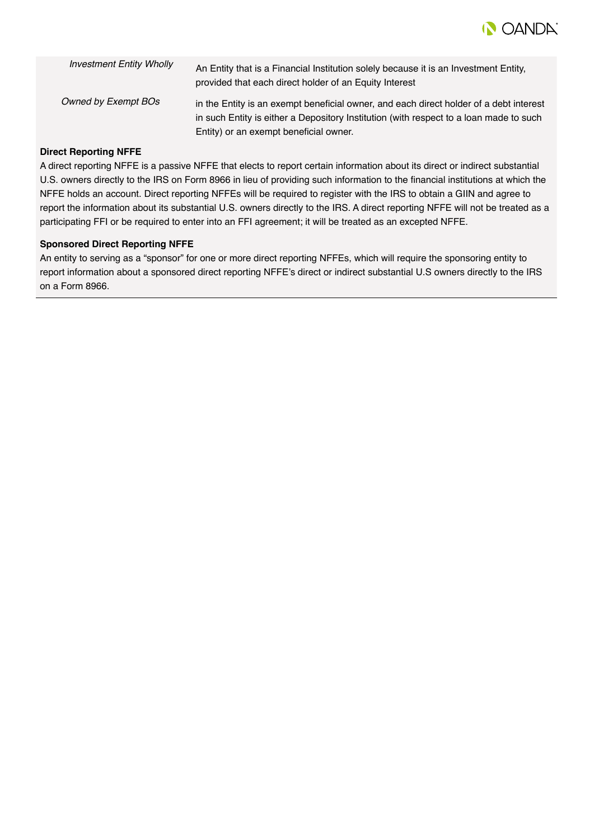

| <b>Investment Entity Wholly</b> | An Entity that is a Financial Institution solely because it is an Investment Entity,<br>provided that each direct holder of an Equity Interest                                                                             |
|---------------------------------|----------------------------------------------------------------------------------------------------------------------------------------------------------------------------------------------------------------------------|
| Owned by Exempt BOs             | in the Entity is an exempt beneficial owner, and each direct holder of a debt interest<br>in such Entity is either a Depository Institution (with respect to a loan made to such<br>Entity) or an exempt beneficial owner. |

#### **Direct Reporting NFFE**

A direct reporting NFFE is a passive NFFE that elects to report certain information about its direct or indirect substantial U.S. owners directly to the IRS on Form 8966 in lieu of providing such information to the financial institutions at which the NFFE holds an account. Direct reporting NFFEs will be required to register with the IRS to obtain a GIIN and agree to report the information about its substantial U.S. owners directly to the IRS. A direct reporting NFFE will not be treated as a participating FFI or be required to enter into an FFI agreement; it will be treated as an excepted NFFE.

#### **Sponsored Direct Reporting NFFE**

An entity to serving as a "sponsor" for one or more direct reporting NFFEs, which will require the sponsoring entity to report information about a sponsored direct reporting NFFE's direct or indirect substantial U.S owners directly to the IRS on a Form 8966.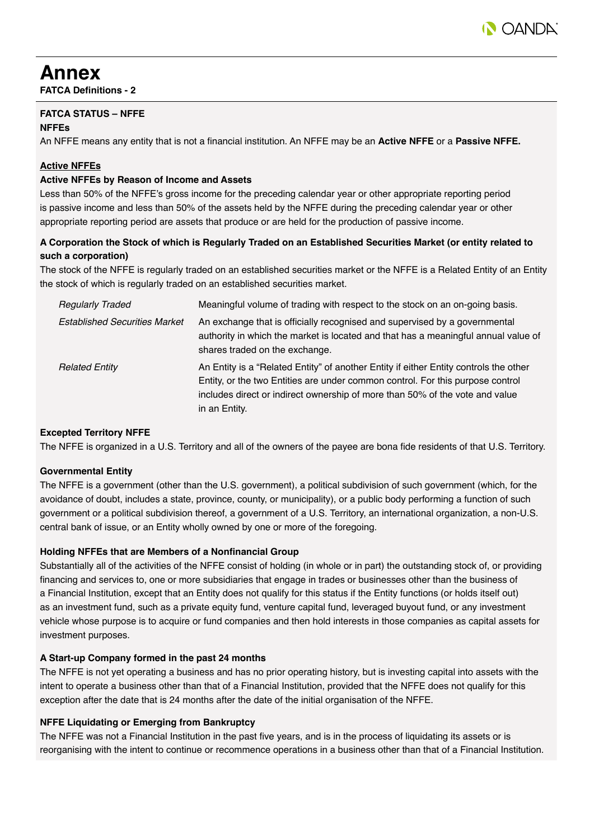

## **Annex**

**FATCA Definitions - 2**

#### **FATCA STATUS – NFFE**

#### **NFFEs**

An NFFE means any entity that is not a financial institution. An NFFE may be an **Active NFFE** or a **Passive NFFE.**

#### **Active NFFEs**

#### **Active NFFEs by Reason of Income and Assets**

Less than 50% of the NFFE's gross income for the preceding calendar year or other appropriate reporting period is passive income and less than 50% of the assets held by the NFFE during the preceding calendar year or other appropriate reporting period are assets that produce or are held for the production of passive income.

#### **A Corporation the Stock of which is Regularly Traded on an Established Securities Market (or entity related to such a corporation)**

The stock of the NFFE is regularly traded on an established securities market or the NFFE is a Related Entity of an Entity the stock of which is regularly traded on an established securities market.

| <b>Regularly Traded</b>              | Meaningful volume of trading with respect to the stock on an on-going basis.                                                                                                                                                                                             |  |  |  |  |
|--------------------------------------|--------------------------------------------------------------------------------------------------------------------------------------------------------------------------------------------------------------------------------------------------------------------------|--|--|--|--|
| <b>Established Securities Market</b> | An exchange that is officially recognised and supervised by a governmental<br>authority in which the market is located and that has a meaningful annual value of<br>shares traded on the exchange.                                                                       |  |  |  |  |
| <b>Related Entity</b>                | An Entity is a "Related Entity" of another Entity if either Entity controls the other<br>Entity, or the two Entities are under common control. For this purpose control<br>includes direct or indirect ownership of more than 50% of the vote and value<br>in an Entity. |  |  |  |  |

#### **Excepted Territory NFFE**

The NFFE is organized in a U.S. Territory and all of the owners of the payee are bona fide residents of that U.S. Territory.

#### **Governmental Entity**

The NFFE is a government (other than the U.S. government), a political subdivision of such government (which, for the avoidance of doubt, includes a state, province, county, or municipality), or a public body performing a function of such government or a political subdivision thereof, a government of a U.S. Territory, an international organization, a non-U.S. central bank of issue, or an Entity wholly owned by one or more of the foregoing.

#### **Holding NFFEs that are Members of a Nonfinancial Group**

Substantially all of the activities of the NFFE consist of holding (in whole or in part) the outstanding stock of, or providing financing and services to, one or more subsidiaries that engage in trades or businesses other than the business of a Financial Institution, except that an Entity does not qualify for this status if the Entity functions (or holds itself out) as an investment fund, such as a private equity fund, venture capital fund, leveraged buyout fund, or any investment vehicle whose purpose is to acquire or fund companies and then hold interests in those companies as capital assets for investment purposes.

#### **A Start-up Company formed in the past 24 months**

The NFFE is not yet operating a business and has no prior operating history, but is investing capital into assets with the intent to operate a business other than that of a Financial Institution, provided that the NFFE does not qualify for this exception after the date that is 24 months after the date of the initial organisation of the NFFE.

#### **NFFE Liquidating or Emerging from Bankruptcy**

The NFFE was not a Financial Institution in the past five years, and is in the process of liquidating its assets or is reorganising with the intent to continue or recommence operations in a business other than that of a Financial Institution.